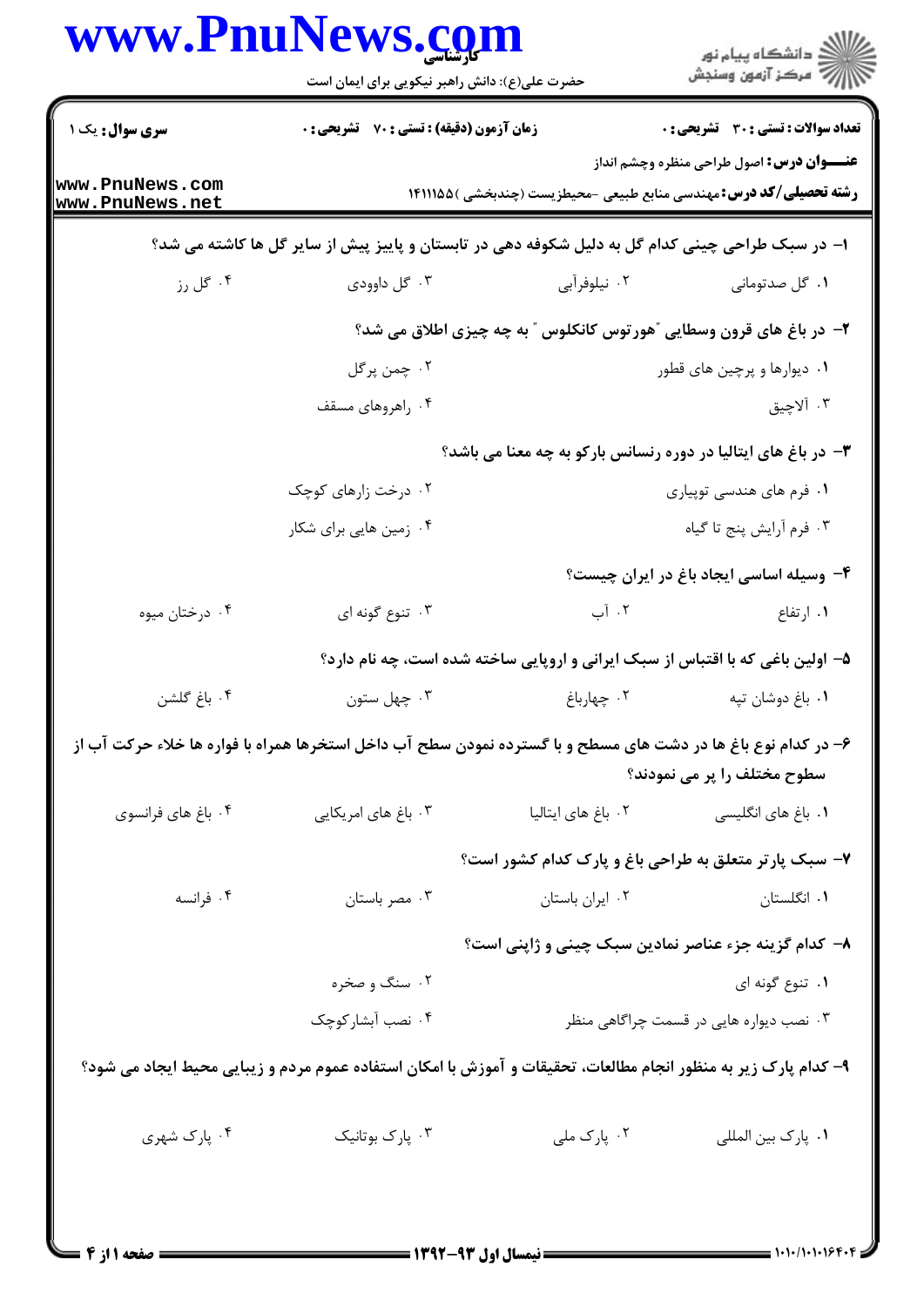|                                    | حضرت علی(ع): دانش راهبر نیکویی برای ایمان است                                                                   |                             | ≦ دانشڪاه پيام نور<br>7 مرڪز آزمون وسنڊش                                                                                       |  |
|------------------------------------|-----------------------------------------------------------------------------------------------------------------|-----------------------------|--------------------------------------------------------------------------------------------------------------------------------|--|
| سری سوال: یک ۱                     | زمان آزمون (دقیقه) : تستی : 70 گشریحی : 0                                                                       |                             | <b>تعداد سوالات : تستی : 30 ٪ تشریحی : 0</b>                                                                                   |  |
| www.PnuNews.com<br>www.PnuNews.net |                                                                                                                 |                             | <b>عنـــوان درس:</b> اصول طراحی منظره وچشم انداز<br><b>رشته تحصیلی/کد درس: م</b> هندسی منابع طبیعی -محیطزیست (چندبخشی )۱۴۱۱۱۵۵ |  |
|                                    | ا– در سبک طراحی چینی کدام گل به دلیل شکوفه دهی در تابستان و پاییز پیش از سایر گل ها کاشته می شد؟                |                             |                                                                                                                                |  |
| ۰۴ گل رز                           | ۰۳ گل داوودی                                                                                                    | ۰۲ نیلوفرآبی                | ٠١ گل صدتوماني                                                                                                                 |  |
|                                    | ۲- در باغ های قرون وسطایی ″هورتوس کانکلوس ″ به چه چیزی اطلاق می شد؟                                             |                             |                                                                                                                                |  |
|                                    | ۰۲ چمن پرگل                                                                                                     | ۰۱ دیوارها و پرچین های قطور |                                                                                                                                |  |
|                                    | ۰۴ راهروهای مسقف                                                                                                |                             | ۰۳ آلاچيق                                                                                                                      |  |
|                                    | ۳- در باغ های ایتالیا در دوره رنسانس بارکو به چه معنا می باشد؟                                                  |                             |                                                                                                                                |  |
|                                    | ۰۲ درخت زارهای کوچک                                                                                             |                             | ۰۱ فرم های هندسی توپیاری                                                                                                       |  |
|                                    | ۰۴ زمین هایی برای شکار                                                                                          |                             | ٠٣ فرم أرايش پنج تا گياه                                                                                                       |  |
|                                    |                                                                                                                 |                             | ۴- وسیله اساسی ایجاد باغ در ایران چیست؟                                                                                        |  |
| ۰۴ درختان میوه                     | ۰۳ تنوع گونه ای                                                                                                 | ۰۲ آب                       | ۰۱ ارتفاع                                                                                                                      |  |
|                                    | ۵- اولین باغی که با اقتباس از سبک ایرانی و اروپایی ساخته شده است، چه نام دارد؟                                  |                             |                                                                                                                                |  |
| ۰۴ باغ گلشن                        | ۰۳ چهل ستون                                                                                                     | ۰۲ چهارباغ                  | ٠١. باغ دوشان تپه                                                                                                              |  |
|                                    | ۶– در کدام نوع باغ ها در دشت های مسطح و با گسترده نمودن سطح آب داخل استخرها همراه با فواره ها خلاء حرکت آب از   |                             | سطوح مختلف را پر می نمودند؟                                                                                                    |  |
| ۰۴ باغ های فرانسوی                 | ۰۳ باغ های امریکایی                                                                                             | ۰۲ باغ های ایتالیا          | ٠١. باغ هاي انگليسي                                                                                                            |  |
|                                    |                                                                                                                 |                             | ۷- سبک پارتر متعلق به طراحی باغ و پارک کدام کشور است؟                                                                          |  |
| ۰۴ فرانسه                          | ۰۳ مصر باستان                                                                                                   | ٠٢ ايران باستان             | ٠١. انگلستان                                                                                                                   |  |
|                                    | ۸– کدام گزینه جزء عناصر نمادین سبک چینی و ژاپنی است؟                                                            |                             |                                                                                                                                |  |
|                                    | ۰۲ سنگ و صخره                                                                                                   |                             | ۰۱ تنوع گونه ای                                                                                                                |  |
|                                    | ۰۴ نصب آبشار کوچک                                                                                               |                             | ۰۳ نصب دیواره هایی در قسمت چراگاهی منظر                                                                                        |  |
|                                    | ۹– کدام پارک زیر به منظور انجام مطالعات، تحقیقات و آموزش با امکان استفاده عموم مردم و زیبایی محیط ایجاد می شود؟ |                             |                                                                                                                                |  |
| ۰۴ پارک شهري                       | ۰۳ پارک بوتانیک                                                                                                 | ۰۲ پارک ملی                 | ٠١. پارک بين المللي                                                                                                            |  |
|                                    |                                                                                                                 |                             |                                                                                                                                |  |
|                                    |                                                                                                                 |                             |                                                                                                                                |  |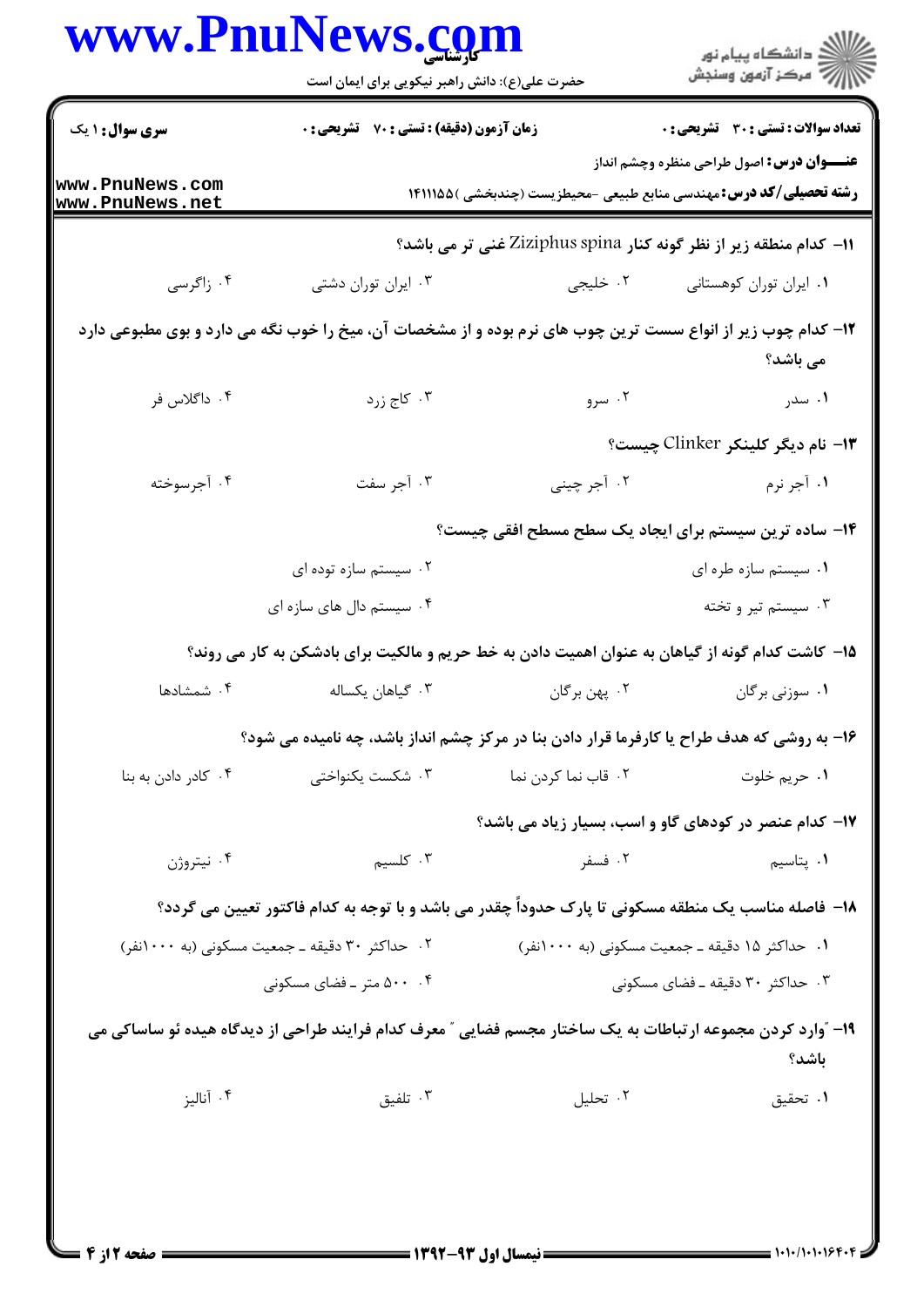|                                    | www.PnuNews.com<br>حضرت علی(ع): دانش راهبر نیکویی برای ایمان است                                             |                                                                           | ڪ دانشڪاه پيام نور<br>//> مرڪز آزمون وسنڊش       |
|------------------------------------|--------------------------------------------------------------------------------------------------------------|---------------------------------------------------------------------------|--------------------------------------------------|
| <b>سری سوال : ۱ یک</b>             | <b>زمان آزمون (دقیقه) : تستی : 70 گشریحی : 0</b>                                                             |                                                                           | <b>تعداد سوالات : تستي : 30 ٪ تشريحي : 0</b>     |
| www.PnuNews.com<br>www.PnuNews.net |                                                                                                              | <b>رشته تحصیلی/کد درس:</b> مهندسی منابع طبیعی -محیطزیست (چندبخشی )۱۴۱۱۱۵۵ | <b>عنـــوان درس:</b> اصول طراحی منظره وچشم انداز |
|                                    |                                                                                                              | 11- كدام منطقه زير از نظر گونه كنار Ziziphus spina غنى تر مى باشد؟        |                                                  |
| ۰۴ زاگرسی                          | ۰۳ ایران توران دشتی                                                                                          | ۰۲ خلیجی                                                                  | ٠١ ايران توران كوهستاني                          |
|                                    | ۱۲– کدام چوب زیر از انواع سست ترین چوب های نرم بوده و از مشخصات آن، میخ را خوب نگه می دارد و بوی مطبوعی دارد |                                                                           | می باشد؟                                         |
| ۰۴ داگلاس فر                       | ۰۳ کاج زرد                                                                                                   | ۰۲ سرو                                                                    | ۰۱ سدر                                           |
|                                    |                                                                                                              |                                                                           | ۱۳- نام دیگر کلینکر Clinker چیست؟                |
| ۰۴ آجرسوخته                        | ۰۳ آجر سفت                                                                                                   | ۰۲ آجر چینی                                                               | ۰۱ آجر نرم                                       |
|                                    |                                                                                                              | ۱۴– ساده ترین سیستم برای ایجاد یک سطح مسطح افقی چیست؟                     |                                                  |
|                                    | ۰۲ سیستم سازه توده ای                                                                                        |                                                                           | ۰۱ سیستم سازه طره ای                             |
|                                    | ۰۴ سیستم دال های سازه ای                                                                                     |                                                                           | ۰۳ سیستم تیر و تخته                              |
|                                    | ۱۵– کاشت کدام گونه از گیاهان به عنوان اهمیت دادن به خط حریم و مالکیت برای بادشکن به کار می روند؟             |                                                                           |                                                  |
| ۰۴ شمشادها                         | ۰۳ گیاهان یکساله                                                                                             | ۰۲ پهن برگان                                                              | ۰۱ سوزنی برگان                                   |
|                                    | ۱۶- به روشی که هدف طراح یا کارفرما قرار دادن بنا در مرکز چشم انداز باشد، چه نامیده می شود؟                   |                                                                           |                                                  |
| ۰۴ کادر دادن به بنا                | ۰۳ شکست یکنواختی                                                                                             | ۰۲ قاب نما کردن نما                                                       | ۰۱ حريم خلوت                                     |
|                                    |                                                                                                              | ۱۷- کدام عنصر در کودهای گاو و اسب، بسیار زیاد می باشد؟                    |                                                  |
| ۰۴ نيتروژن                         | ۰۳ کلسیم                                                                                                     | ۰۲ فسفر                                                                   | ۰۱ پتاسی <sub>م</sub>                            |
|                                    | ۱۸– فاصله مناسب یک منطقه مسکونی تا پارک حدوداً چقدر می باشد و با توجه به کدام فاکتور تعیین می گردد؟          |                                                                           |                                                  |
|                                    | ۰۲ حداکثر ۳۰ دقیقه ـ جمعیت مسکونی (به ۱۰۰۰نفر)                                                               | ۰۱ حداکثر ۱۵ دقیقه ـ جمعیت مسکونی (به ۱۰۰۰نفر)                            |                                                  |
|                                    | ۰۴ متر ـ فضای مسکونی                                                                                         |                                                                           | ۰۳ حداکثر ۳۰ دقیقه ـ فضای مسکونی                 |
|                                    | ۱۹– "وارد کردن مجموعه ارتباطات به یک ساختار مجسم فضایی " معرف کدام فرایند طراحی از دیدگاه هیده ئو ساساکی می  |                                                                           | باشد؟                                            |
| ۰۴ آناليز                          | ۰۳ تلفیق                                                                                                     | ٠٢ تحليل                                                                  | ٠١. تحقيق                                        |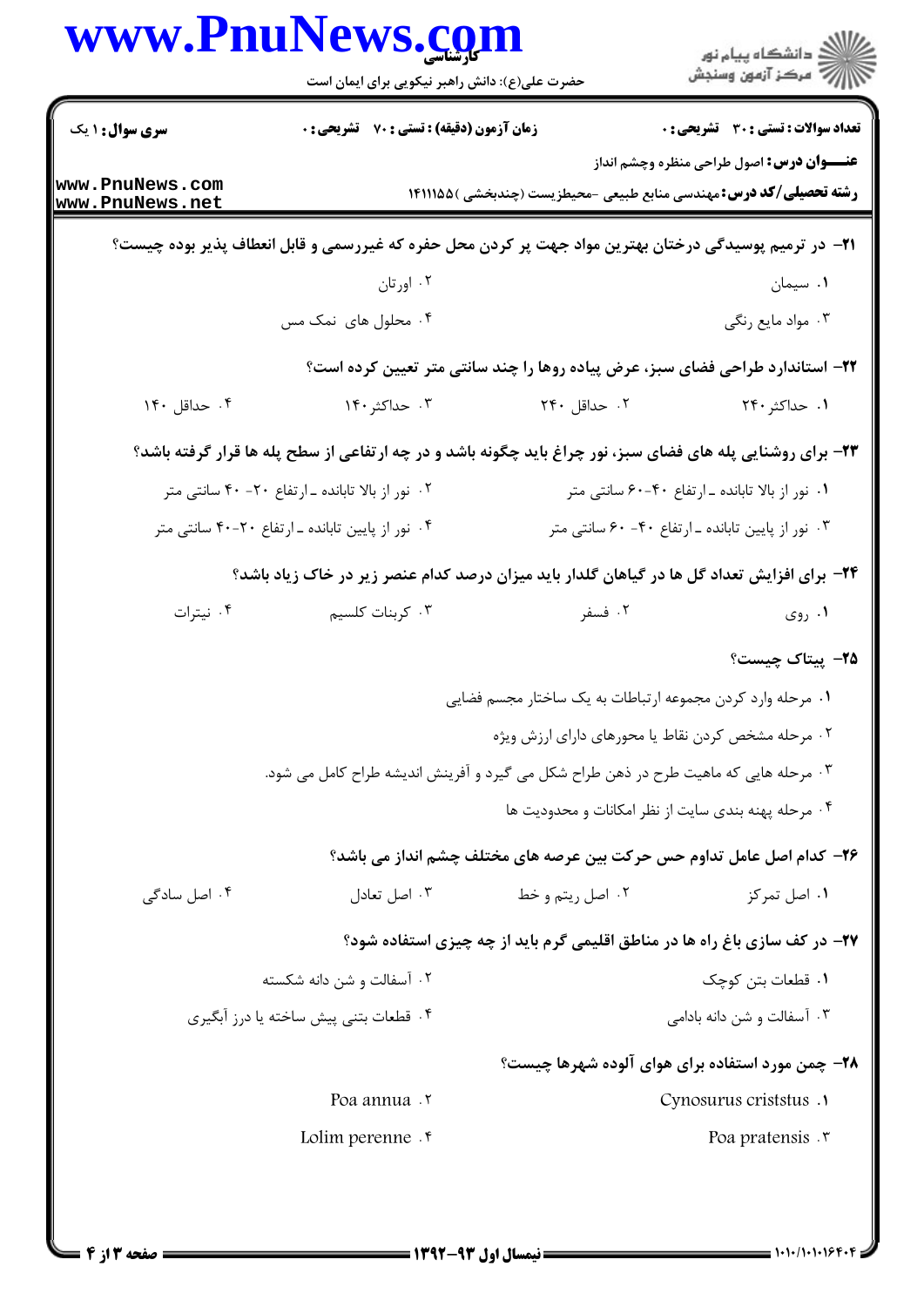|                                    | www.PnuNews.com<br>حضرت علی(ع): دانش راهبر نیکویی برای ایمان است                                             |                                                                                   | ≦ دانشڪاه پيام نور<br>7- مرڪز آزمون وسنڊش         |
|------------------------------------|--------------------------------------------------------------------------------------------------------------|-----------------------------------------------------------------------------------|---------------------------------------------------|
| <b>سری سوال : ۱ یک</b>             | زمان آزمون (دقیقه) : تستی : 70 گشریحی : 0                                                                    |                                                                                   | <b>تعداد سوالات : تستی : 30 ٪ تشریحی : 0</b>      |
| www.PnuNews.com<br>www.PnuNews.net |                                                                                                              | <b>رشته تحصیلی/کد درس:</b> مهندسی منابع طبیعی -محیطزیست (چندبخشی )۱۴۱۱۱۵۵         | <b>عنـــوان درس:</b> اصول طراحی منظره وچشم انداز  |
|                                    | <b>ا۲−</b> در ترمیم پوسیدگی درختان بهترین مواد جهت پر کردن محل حفره که غیررسمی و قابل انعطاف پذیر بوده چیست؟ |                                                                                   |                                                   |
|                                    | ۰۲ اورتان                                                                                                    |                                                                                   | ۰۱ سیمان                                          |
|                                    | ۰۴ محلول های نمک مس                                                                                          |                                                                                   | ۰۳ مواد مايع رنگي                                 |
|                                    |                                                                                                              | ۲۲- استاندارد طراحی فضای سبز، عرض پیاده روها را چند سانتی متر تعیین کرده است؟     |                                                   |
| ۰۴ حداقل ۱۴۰                       | ۰۳ حداکثر ۱۴۰                                                                                                | ۲. حداقل ۲۴۰                                                                      | ۱. حداکثر ۲۴۰                                     |
|                                    | ۲۳- برای روشنایی پله های فضای سبز، نور چراغ باید چگونه باشد و در چه ارتفاعی از سطح پله ها قرار گرفته باشد؟   |                                                                                   |                                                   |
|                                    | ۰۲ نور از بالا تابانده ـ ارتفاع ۲۰- ۴۰ سانتی متر                                                             |                                                                                   | ۰۱ نور از بالا تابانده ـ ارتفاع ۴۰-۶۰ سانتی متر   |
|                                    | ۰۴ نور از پایین تابانده ـ ارتفاع ۲۰-۴۰ سانتی متر                                                             |                                                                                   | ۰۳ نور از پایین تابانده ـ ارتفاع ۴۰- ۶۰ سانتی متر |
|                                    | <b>۳۴</b> - برای افزایش تعداد گل ها در گیاهان گلدار باید میزان درصد کدام عنصر زیر در خاک زیاد باشد؟          |                                                                                   |                                                   |
| ۰۴ نیترات                          | ۰۳ کربنات کلسیم                                                                                              | ۰۲ فسفر                                                                           | ۰۱ روی                                            |
|                                    |                                                                                                              |                                                                                   | <b>۲۵</b> پیتاک چیست؟                             |
|                                    |                                                                                                              | ۰۱ مرحله وارد کردن مجموعه ارتباطات به یک ساختار مجسم فضایی                        |                                                   |
|                                    |                                                                                                              | ۰۲ مرحله مشخص کردن نقاط یا محورهای دارای ارزش ویژه                                |                                                   |
|                                    | ۰۳ مرحله هایی که ماهیت طرح در ذهن طراح شکل می گیرد و آفرینش اندیشه طراح کامل می شود.                         |                                                                                   |                                                   |
|                                    |                                                                                                              | ۰۴ مرحله یهنه بندی سایت از نظر امکانات و محدودیت ها                               |                                                   |
|                                    |                                                                                                              | ۲۶– کدام اصل عامل تداوم حس حرکت بین عرصه های مختلف چشم انداز می باشد؟             |                                                   |
| ۰۴ اصل سادگی                       | ۰۳ اصل تعادل                                                                                                 | ۰۲ اصل ريتم و خط                                                                  | ۰۱ اصل تمرکز                                      |
|                                    |                                                                                                              | <b>۲۷- در کف سازی باغ راه ها در مناطق اقلیمی گرم باید از چه چیزی استفاده شود؟</b> |                                                   |
|                                    | ۰۲ آسفالت و شن دانه شکسته                                                                                    |                                                                                   | ۰۱ قطعات بتن کوچک                                 |
|                                    | ۰۴ قطعات بتنی پیش ساخته یا درز آبگیری                                                                        |                                                                                   | ۰۳ آسفالت و شن دانه بادامی                        |
|                                    |                                                                                                              | ۲۸- چمن مورد استفاده برای هوای آلوده شهرها چیست؟                                  |                                                   |
|                                    | Poa annua . v                                                                                                |                                                                                   | Cynosurus criststus .1                            |
|                                    | Lolim perenne.                                                                                               |                                                                                   | Poa pratensis . v                                 |